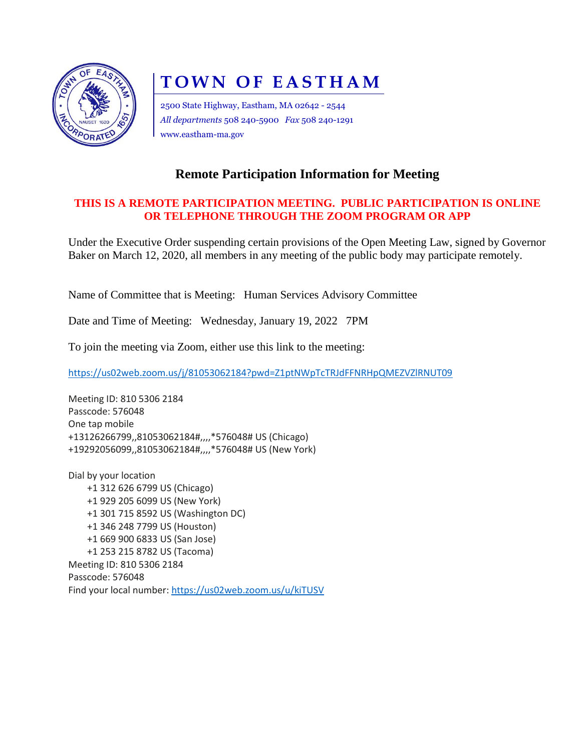

## **TOWN OF EASTHAM**

2500 State Highway, Eastham, MA 02642 - 2544 *All departments* 508 240-5900 *Fax* 508 240-1291 www.eastham-ma.gov

## **Remote Participation Information for Meeting**

## **THIS IS A REMOTE PARTICIPATION MEETING. PUBLIC PARTICIPATION IS ONLINE OR TELEPHONE THROUGH THE ZOOM PROGRAM OR APP**

Under the Executive Order suspending certain provisions of the Open Meeting Law, signed by Governor Baker on March 12, 2020, all members in any meeting of the public body may participate remotely.

Name of Committee that is Meeting: Human Services Advisory Committee

Date and Time of Meeting: Wednesday, January 19, 2022 7PM

To join the meeting via Zoom, either use this link to the meeting:

<https://us02web.zoom.us/j/81053062184?pwd=Z1ptNWpTcTRJdFFNRHpQMEZVZlRNUT09>

Meeting ID: 810 5306 2184 Passcode: 576048 One tap mobile +13126266799,,81053062184#,,,,\*576048# US (Chicago) +19292056099,,81053062184#,,,,\*576048# US (New York)

Dial by your location +1 312 626 6799 US (Chicago) +1 929 205 6099 US (New York) +1 301 715 8592 US (Washington DC) +1 346 248 7799 US (Houston) +1 669 900 6833 US (San Jose) +1 253 215 8782 US (Tacoma) Meeting ID: 810 5306 2184 Passcode: 576048 Find your local number[: https://us02web.zoom.us/u/kiTUSV](https://us02web.zoom.us/u/kiTUSVnaQ)